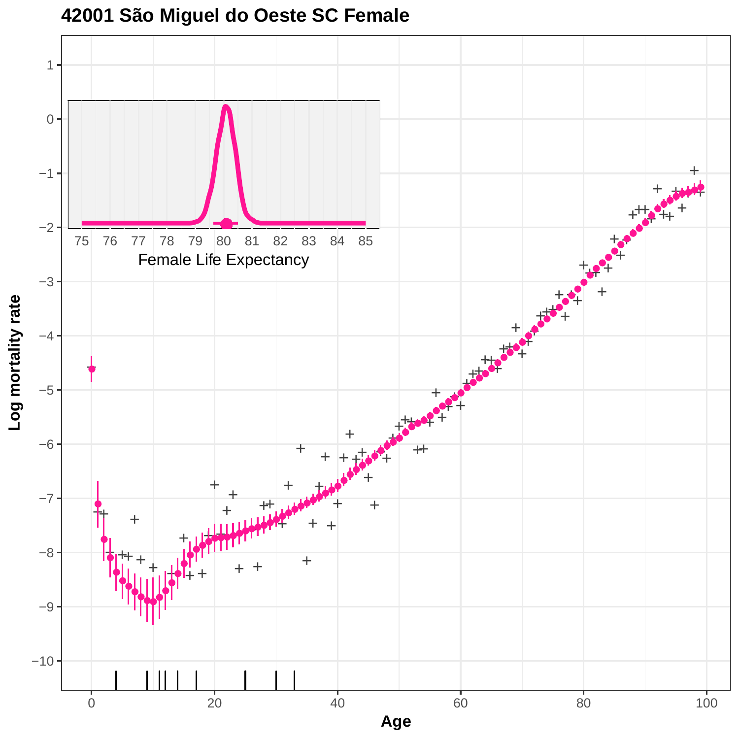

**42001 São Miguel do Oeste SC Female**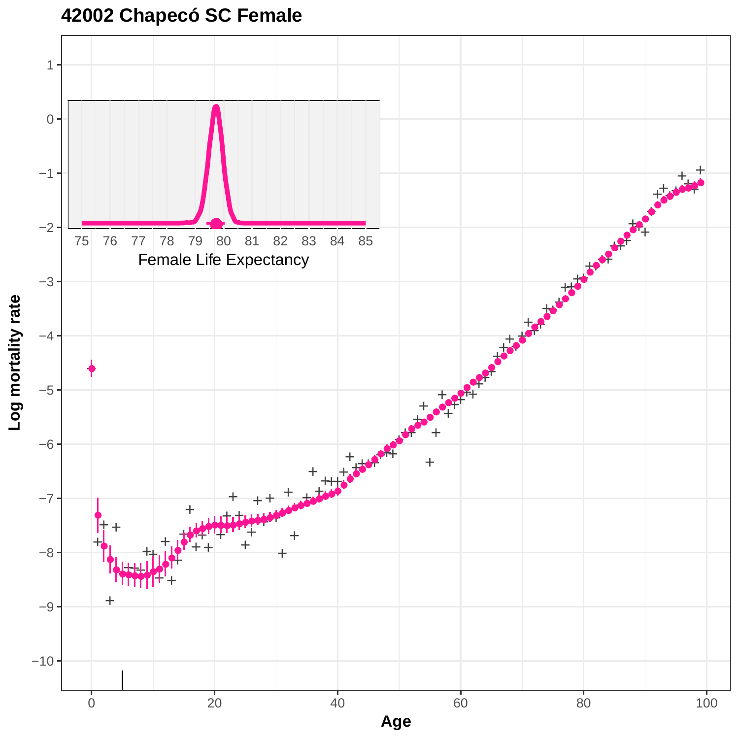**42002 Chapecó SC Female**

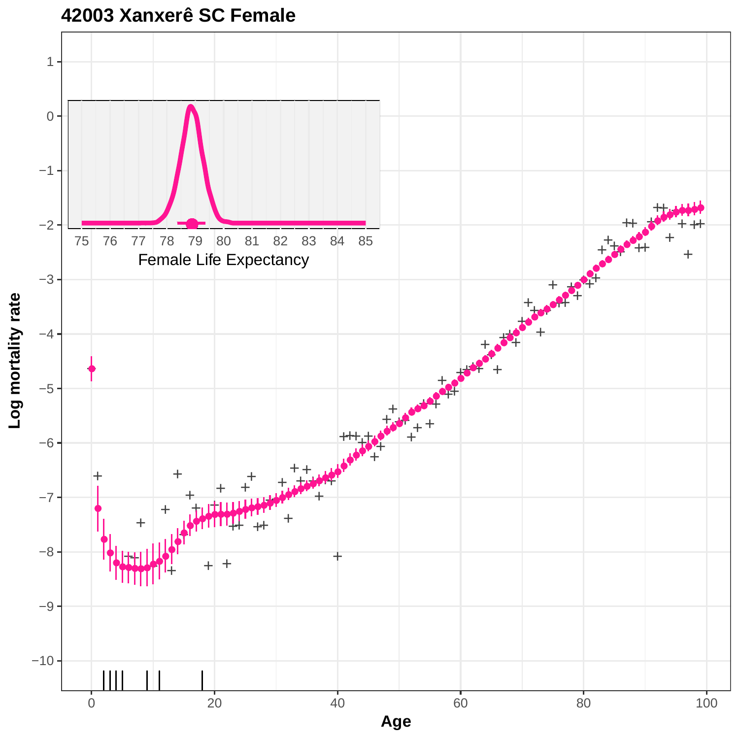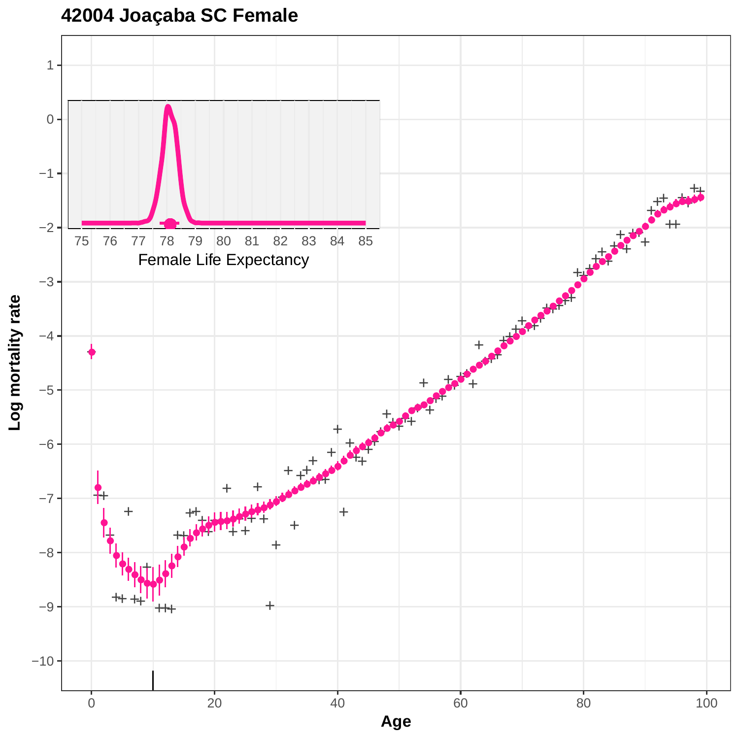**42004 Joaçaba SC Female**

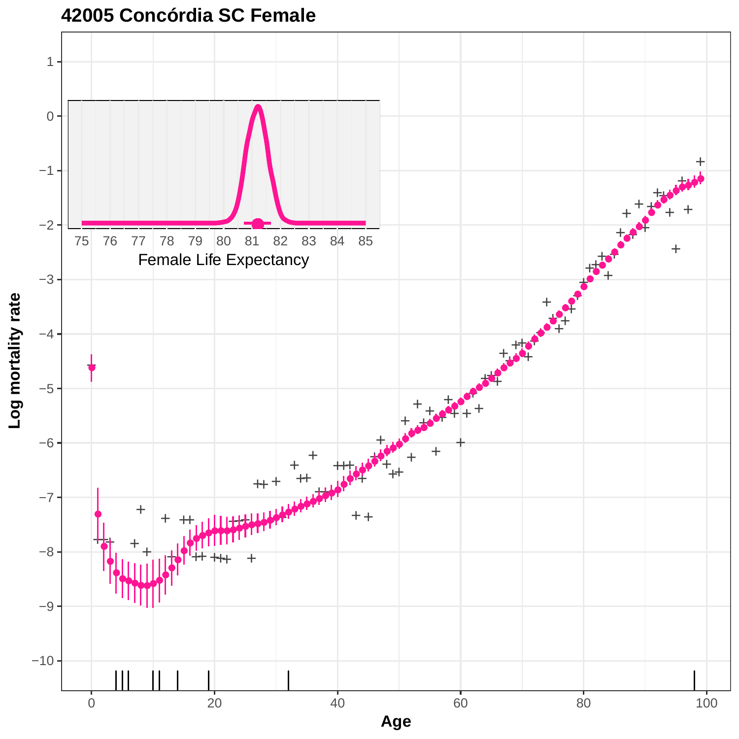

**42005 Concórdia SC Female**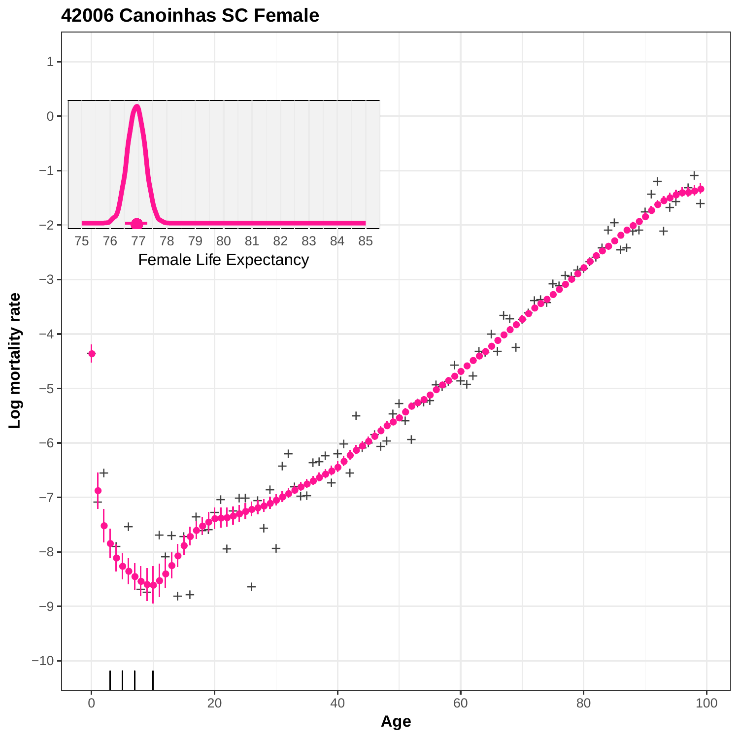

**42006 Canoinhas SC Female**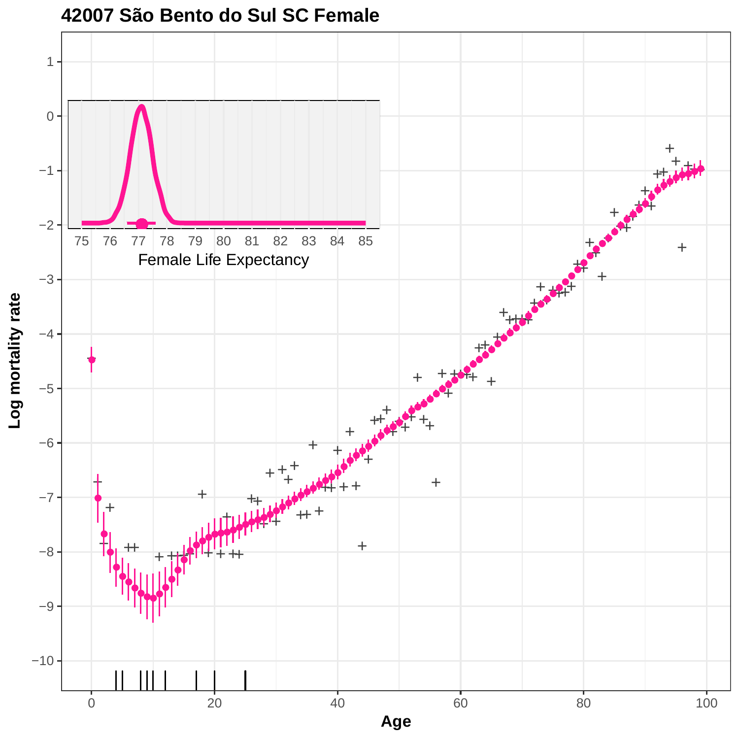

#### **42007 São Bento do Sul SC Female**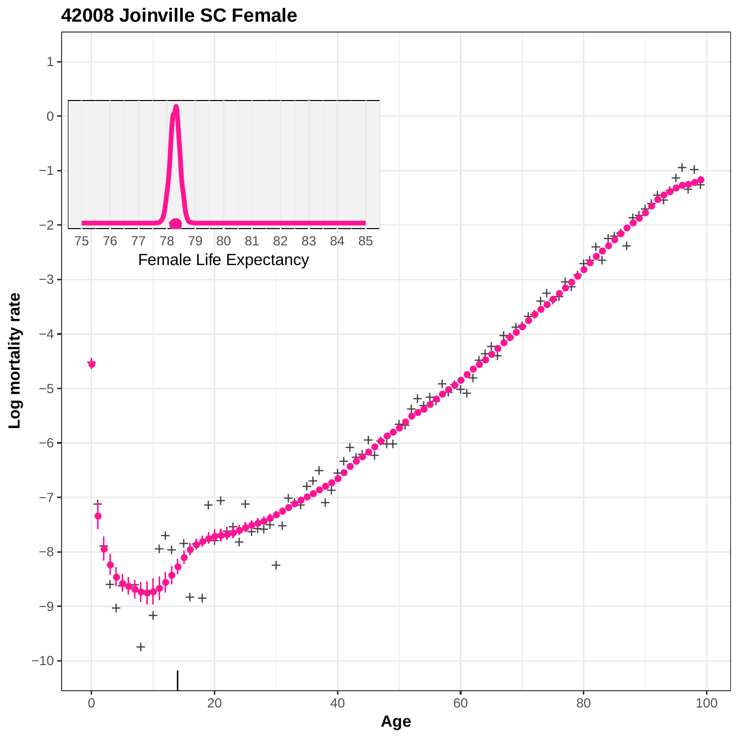

# **42008 Joinville SC Female**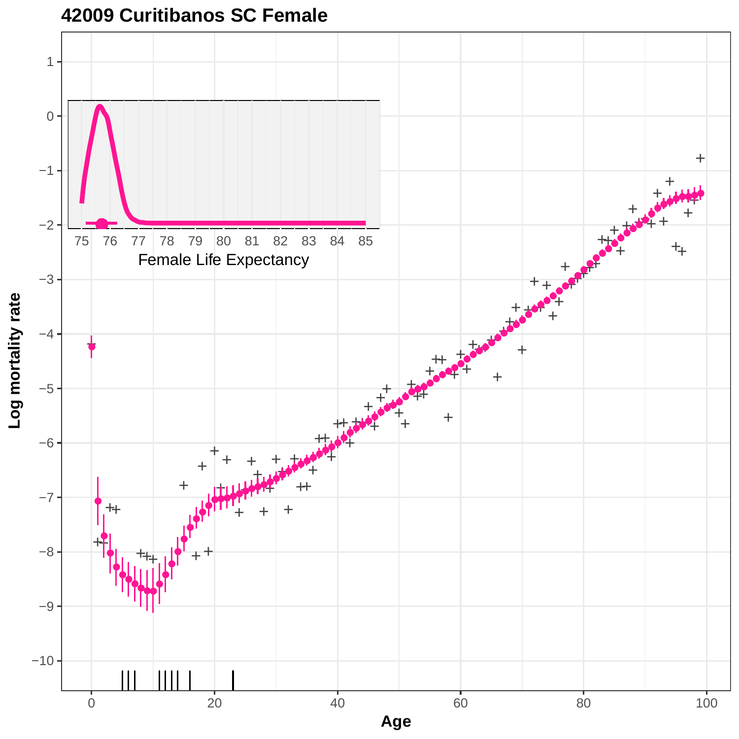

### **42009 Curitibanos SC Female**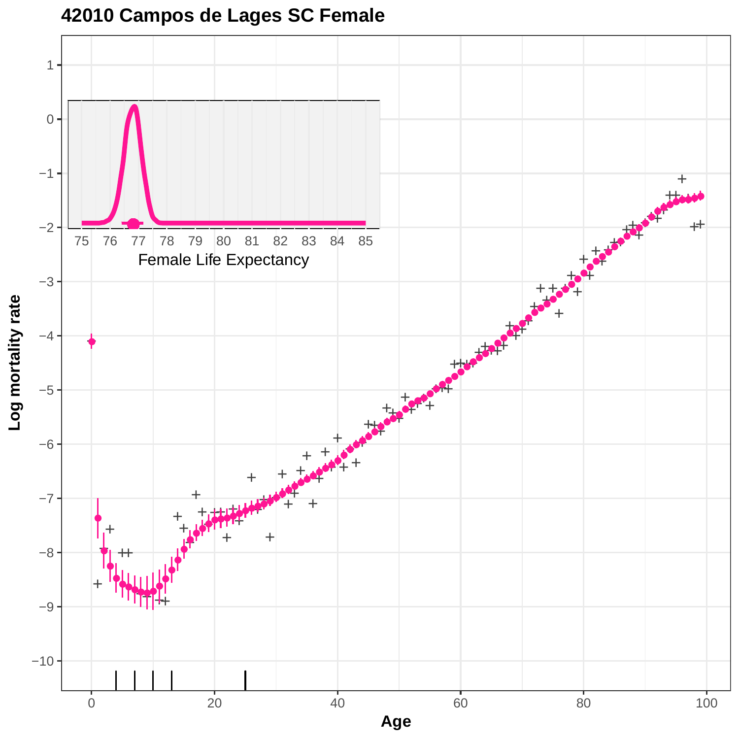

# **42010 Campos de Lages SC Female**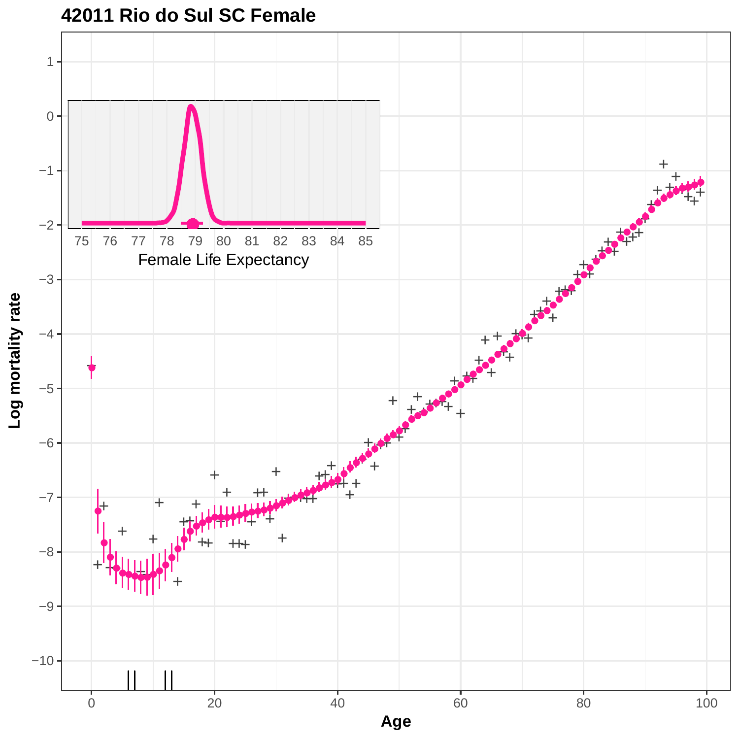

**42011 Rio do Sul SC Female**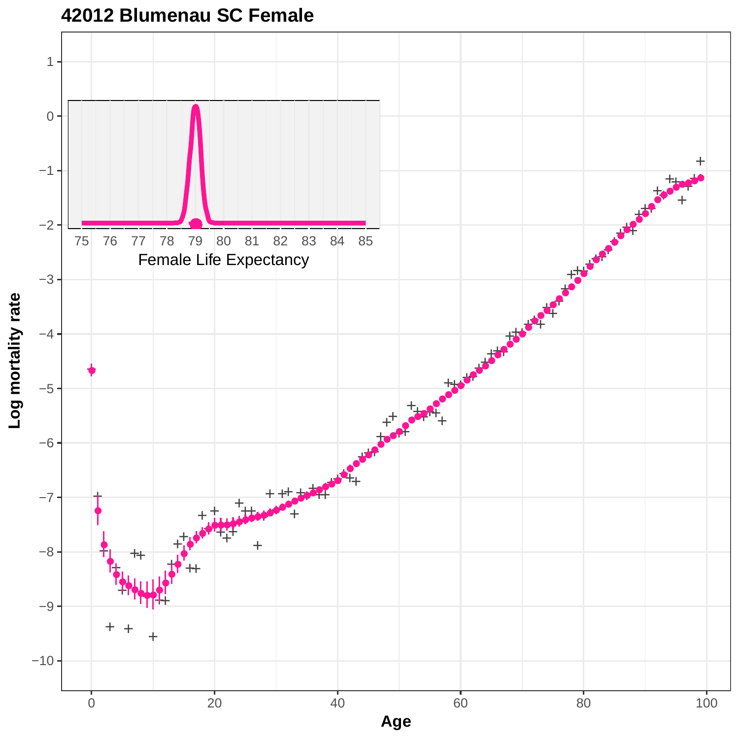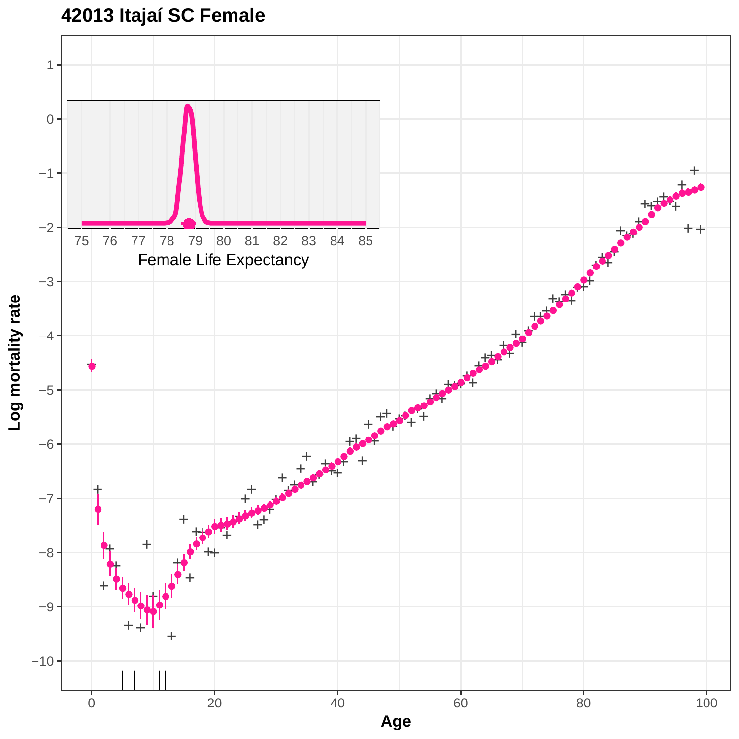



Log mortality rate **Log mortality rate**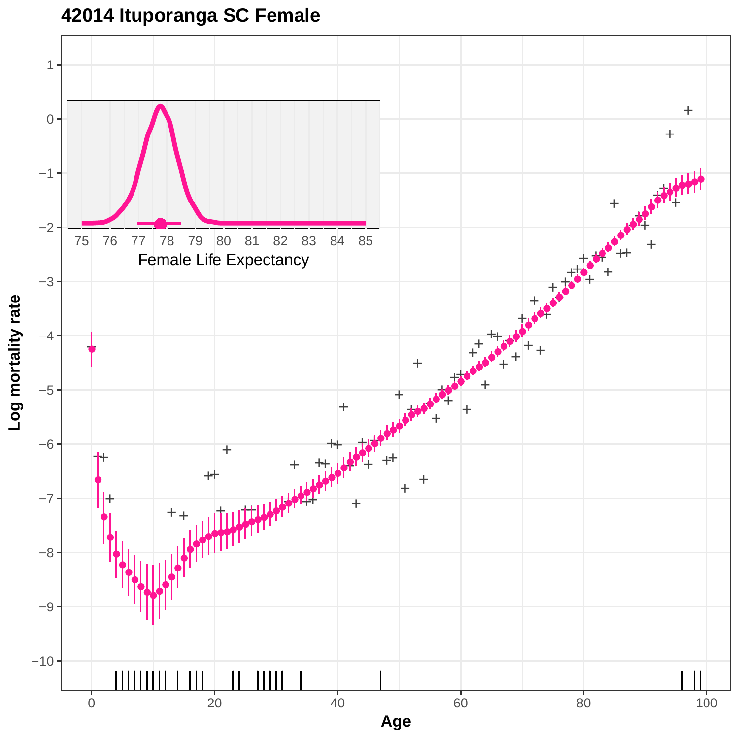

# **42014 Ituporanga SC Female**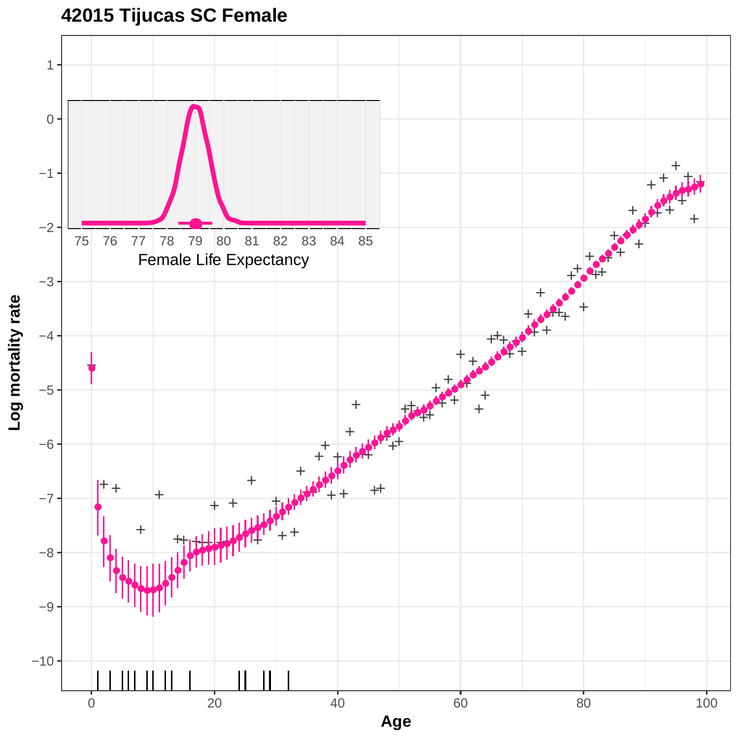**42015 Tijucas SC Female**

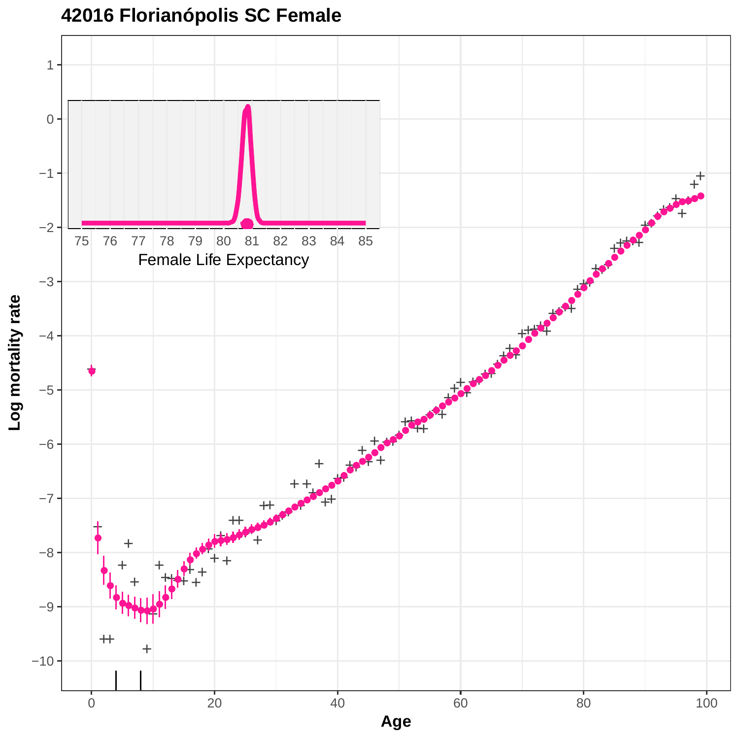

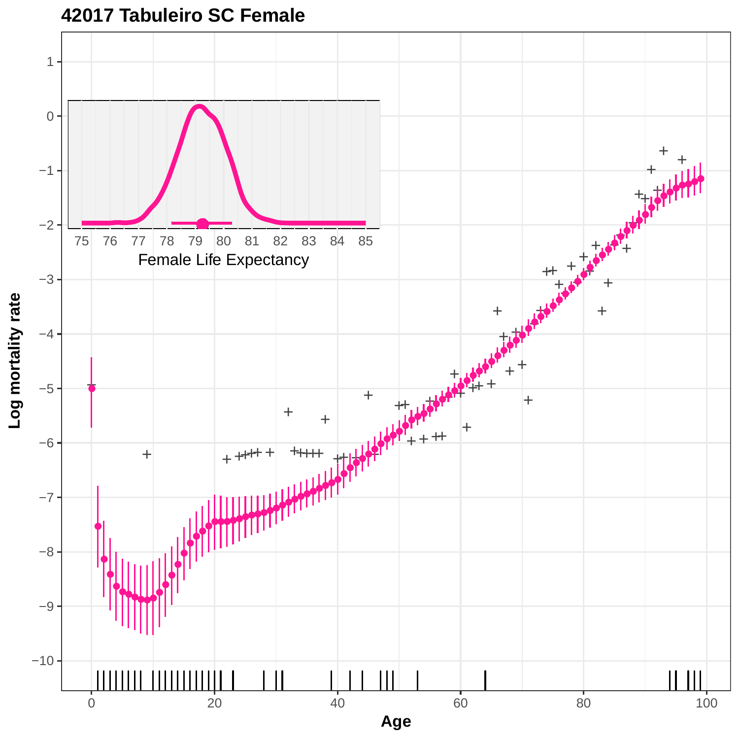

**42017 Tabuleiro SC Female**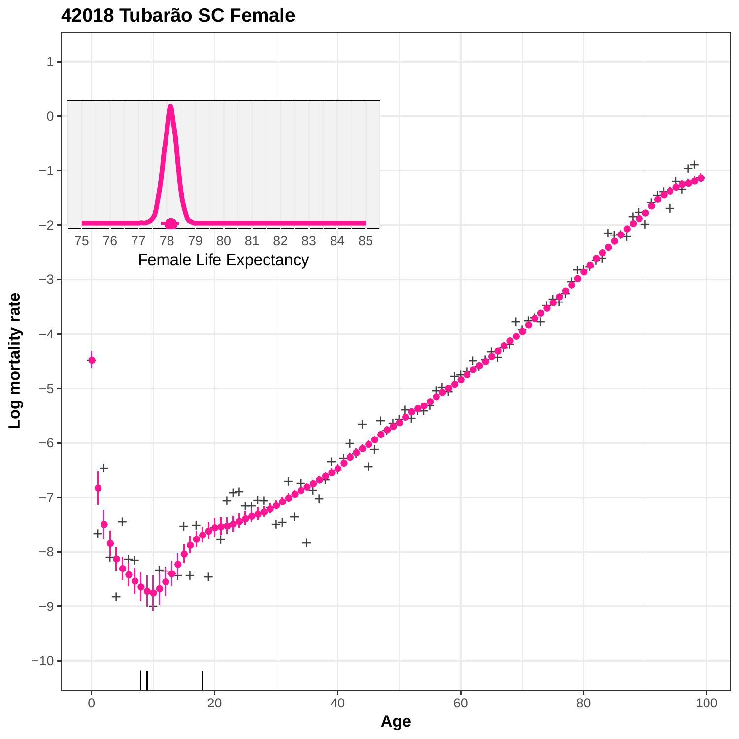

**42018 Tubarão SC Female**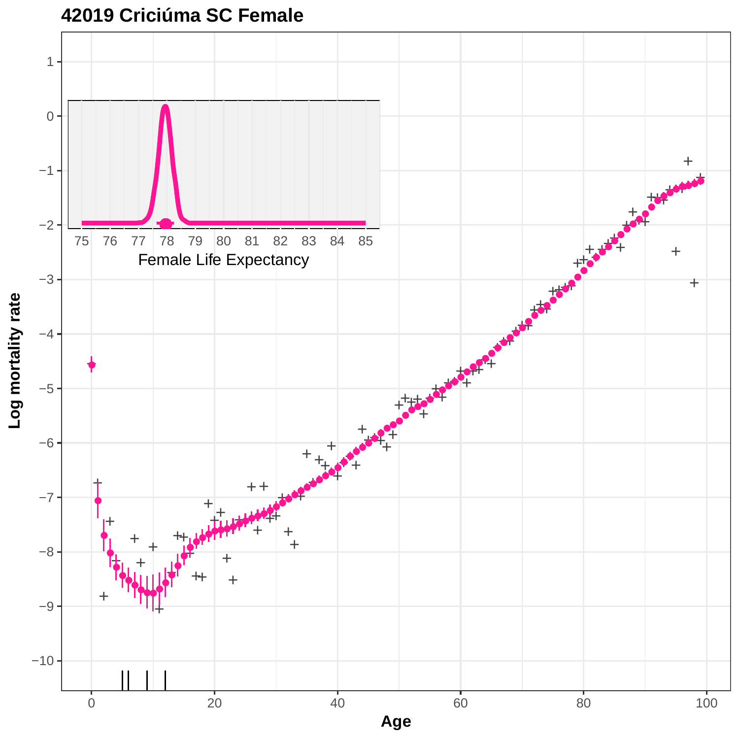